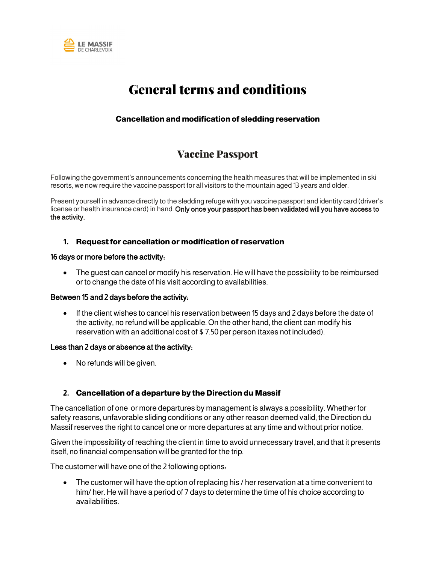

# General terms and conditions

## **Cancellation and modification of sledding reservation**

## Vaccine Passport

Following the government's announcements concerning the health measures that will be implemented in ski resorts, we now require the vaccine passport for all visitors to the mountain aged 13 years and older.

Present yourself in advance directly to the sledding refuge with you vaccine passport and identity card (driver's license or health insurance card) in hand. Only once your passport has been validated will you have access to the activity.

#### **1. Request for cancellation or modification of reservation**

#### 16 days or more before the activity:

• The guest can cancel or modify his reservation. He will have the possibility to be reimbursed or to change the date of his visit according to availabilities.

#### Between 15 and 2 days before the activity:

• If the client wishes to cancel his reservation between 15 days and 2 days before the date of the activity, no refund will be applicable. On the other hand, the client can modify his reservation with an additional cost of \$ 7.50 per person (taxes not included).

#### Less than 2 days or absence at the activity:

• No refunds will be given.

### **2. Cancellation of a departure by the Direction du Massif**

The cancellation of one or more departures by management is always a possibility. Whether for safety reasons, unfavorable sliding conditions or any other reason deemed valid, the Direction du Massif reserves the right to cancel one or more departures at any time and without prior notice.

Given the impossibility of reaching the client in time to avoid unnecessary travel, and that it presents itself, no financial compensation will be granted for the trip.

The customer will have one of the 2 following options:

• The customer will have the option of replacing his / her reservation at a time convenient to him/ her. He will have a period of 7 days to determine the time of his choice according to availabilities.